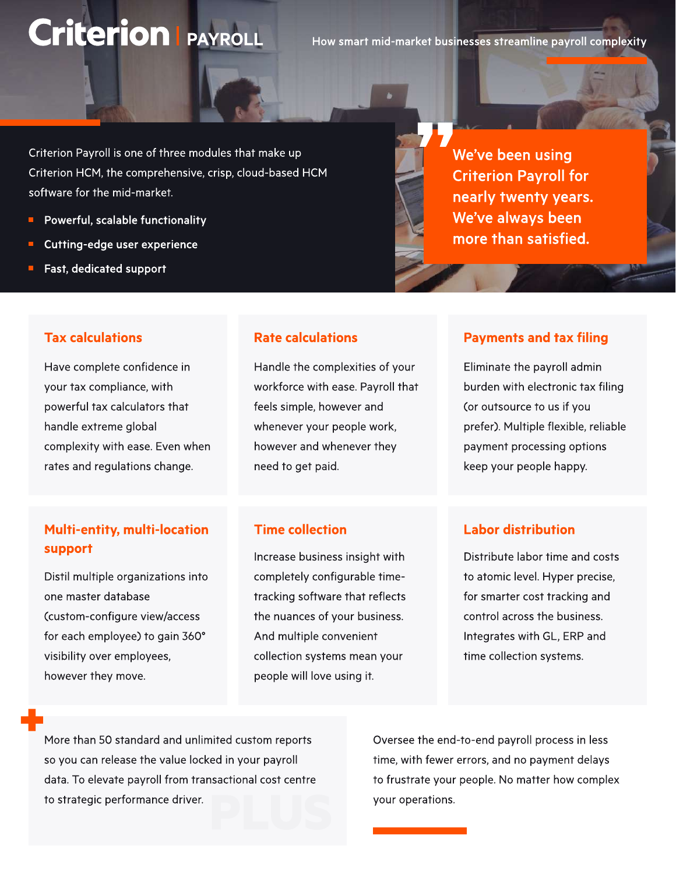# **Criterion | PAYROLL**

How smart mid-market businesses streamline payroll complexity

Criterion Payroll is one of three modules that make up Criterion HCM, the comprehensive, crisp, cloud-based HCM software for the mid-market.

- Powerful, scalable functionality
- Cutting-edge user experience

Have complete confidence in your tax compliance, with powerful tax calculators that

handle extreme global

Fast, dedicated support

Tax calculations

#### Rate calculations

Handle the complexities of your workforce with ease. Payroll that feels simple, however and whenever your people work, however and whenever they need to get paid.

Multi-entity, multi-location support Increase business insight with

complexity with ease. Even when rates and regulations change.

Distil multiple organizations into one master database (custom-configure view/access for each employee) to gain 360 visibility over employees, however they move.

#### Time collection

completely configurable timetracking software that reflects the nuances of your business. And multiple convenient collection systems mean your people will love using it.

We've been using Criterion Payroll for nearly twenty years. We've always been more than satisfied.

#### Payments and tax filing

Eliminate the payroll admin burden with electronic tax filing (or outsource to us if you prefer). Multiple flexible, reliable payment processing options keep your people happy.

#### Labor distribution

Distribute labor time and costs to atomic level. Hyper precise, for smarter cost tracking and control across the business. Integrates with GL, ERP and time collection systems.

More than 50 standard and unlimited custom reports so you can release the value locked in your payroll data. To elevate payroll from transactional cost centre to strategic performance driver.

Oversee the end-to-end payroll process in less time, with fewer errors, and no payment delays to frustrate your people. No matter how complex your operations.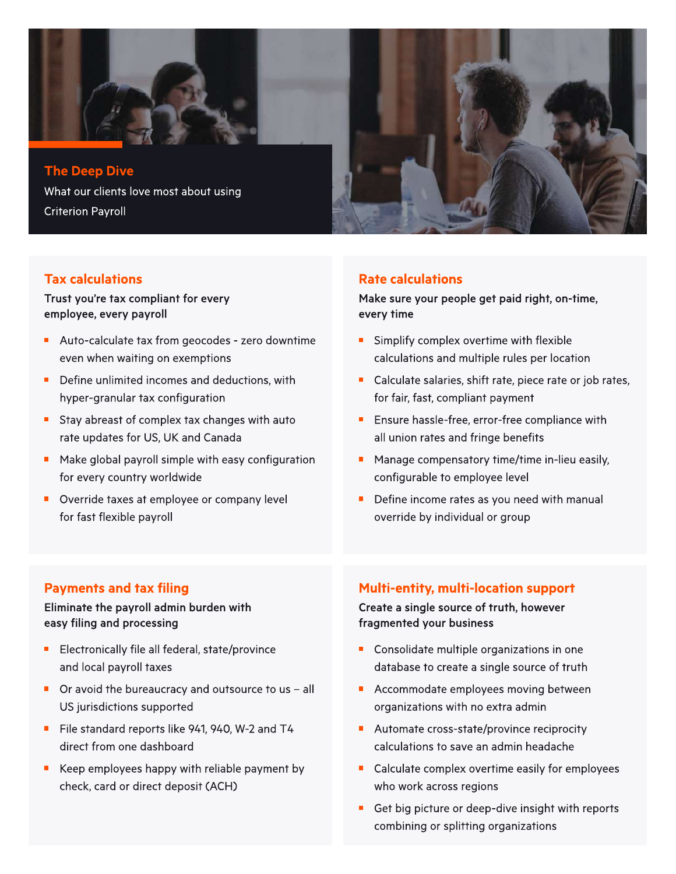

#### Tax calculations

Trust you're tax compliant for every employee, every payroll

- Auto-calculate tax from geocodes zero downtime even when waiting on exemptions
- Define unlimited incomes and deductions, with hyper-granular tax configuration
- Stay abreast of complex tax changes with auto rate updates for US, UK and Canada
- **Make global payroll simple with easy configuration** for every country worldwide
- Override taxes at employee or company level for fast flexible payroll

#### Rate calculations

Make sure your people get paid right, on-time, every time

- Simplify complex overtime with flexible calculations and multiple rules per location
- Calculate salaries, shift rate, piece rate or job rates, for fair, fast, compliant payment
- Ensure hassle-free, error-free compliance with all union rates and fringe benefits
- **Manage compensatory time/time in-lieu easily,** configurable to employee level
- $\blacksquare$ Define income rates as you need with manual override by individual or group

#### Payments and tax filing

#### Eliminate the payroll admin burden with easy filing and processing

- Electronically file all federal, state/province and local payroll taxes
- $\blacksquare$  Or avoid the bureaucracy and outsource to us all US jurisdictions supported
- **File standard reports like 941, 940, W-2 and T4** direct from one dashboard
- Keep employees happy with reliable payment by check, card or direct deposit (ACH)

#### Multi-entity, multi-location support

Create a single source of truth, however fragmented your business

- **Consolidate multiple organizations in one** database to create a single source of truth
- **Accommodate employees moving between** organizations with no extra admin
- Automate cross-state/province reciprocity calculations to save an admin headache
- Calculate complex overtime easily for employees who work across regions
- Get big picture or deep-dive insight with reports combining or splitting organizations